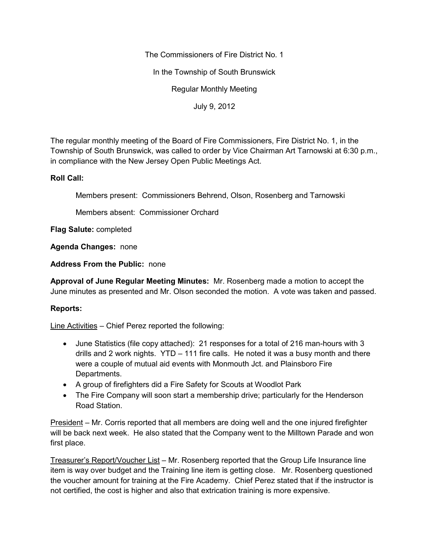The Commissioners of Fire District No. 1

In the Township of South Brunswick

Regular Monthly Meeting

July 9, 2012

The regular monthly meeting of the Board of Fire Commissioners, Fire District No. 1, in the Township of South Brunswick, was called to order by Vice Chairman Art Tarnowski at 6:30 p.m., in compliance with the New Jersey Open Public Meetings Act.

## **Roll Call:**

Members present: Commissioners Behrend, Olson, Rosenberg and Tarnowski

Members absent: Commissioner Orchard

**Flag Salute:** completed

**Agenda Changes:** none

**Address From the Public:** none

**Approval of June Regular Meeting Minutes:** Mr. Rosenberg made a motion to accept the June minutes as presented and Mr. Olson seconded the motion. A vote was taken and passed.

## **Reports:**

Line Activities – Chief Perez reported the following:

- June Statistics (file copy attached): 21 responses for a total of 216 man-hours with 3 drills and 2 work nights. YTD – 111 fire calls. He noted it was a busy month and there were a couple of mutual aid events with Monmouth Jct. and Plainsboro Fire Departments.
- A group of firefighters did a Fire Safety for Scouts at Woodlot Park
- The Fire Company will soon start a membership drive; particularly for the Henderson Road Station.

President – Mr. Corris reported that all members are doing well and the one injured firefighter will be back next week. He also stated that the Company went to the Milltown Parade and won first place.

Treasurer's Report/Voucher List – Mr. Rosenberg reported that the Group Life Insurance line item is way over budget and the Training line item is getting close. Mr. Rosenberg questioned the voucher amount for training at the Fire Academy. Chief Perez stated that if the instructor is not certified, the cost is higher and also that extrication training is more expensive.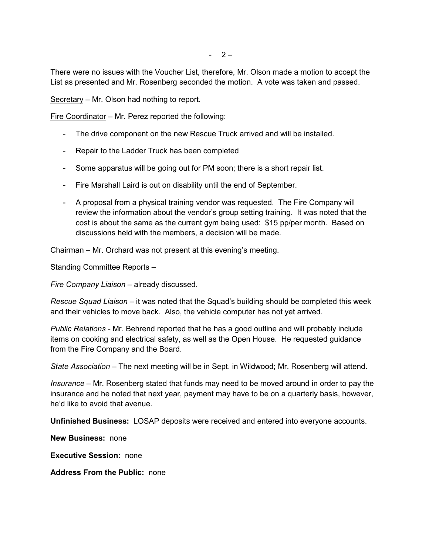There were no issues with the Voucher List, therefore, Mr. Olson made a motion to accept the List as presented and Mr. Rosenberg seconded the motion. A vote was taken and passed.

Secretary – Mr. Olson had nothing to report.

Fire Coordinator – Mr. Perez reported the following:

- The drive component on the new Rescue Truck arrived and will be installed.
- Repair to the Ladder Truck has been completed
- Some apparatus will be going out for PM soon; there is a short repair list.
- Fire Marshall Laird is out on disability until the end of September.
- A proposal from a physical training vendor was requested. The Fire Company will review the information about the vendor's group setting training. It was noted that the cost is about the same as the current gym being used: \$15 pp/per month. Based on discussions held with the members, a decision will be made.

Chairman – Mr. Orchard was not present at this evening's meeting.

Standing Committee Reports –

*Fire Company Liaison –* already discussed.

*Rescue Squad Liaison –* it was noted that the Squad's building should be completed this week and their vehicles to move back. Also, the vehicle computer has not yet arrived.

*Public Relations -* Mr. Behrend reported that he has a good outline and will probably include items on cooking and electrical safety, as well as the Open House. He requested guidance from the Fire Company and the Board.

*State Association –* The next meeting will be in Sept. in Wildwood; Mr. Rosenberg will attend.

*Insurance –* Mr. Rosenberg stated that funds may need to be moved around in order to pay the insurance and he noted that next year, payment may have to be on a quarterly basis, however, he'd like to avoid that avenue.

**Unfinished Business:** LOSAP deposits were received and entered into everyone accounts.

**New Business:** none

**Executive Session:** none

**Address From the Public:** none